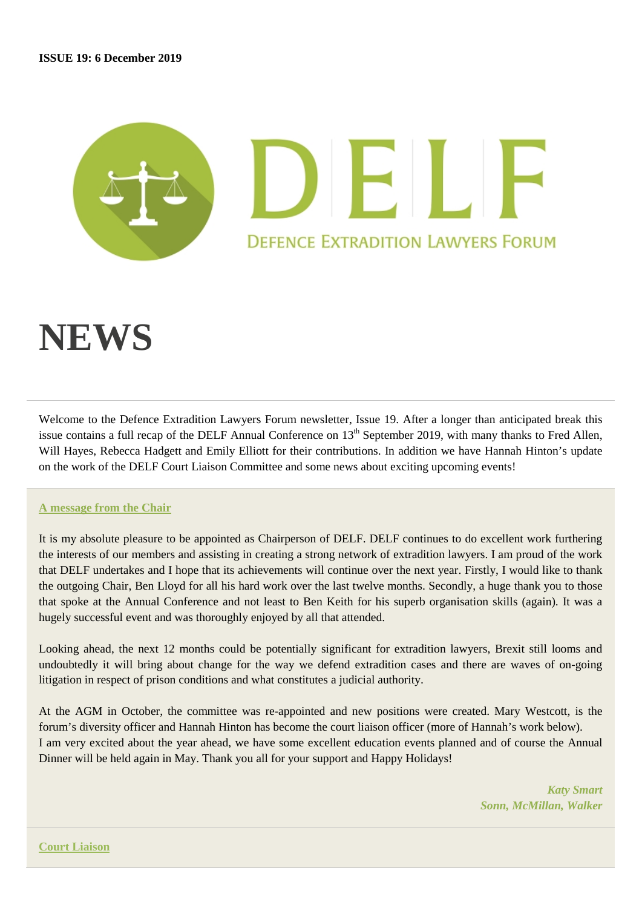# IN DE **DEFENCE EXTRADITION LAWYERS FORUM**

# **NEWS**

Welcome to the Defence Extradition Lawyers Forum newsletter, Issue 19. After a longer than anticipated break this issue contains a full recap of the DELF Annual Conference on  $13<sup>th</sup>$  September 2019, with many thanks to Fred Allen, Will Hayes, Rebecca Hadgett and Emily Elliott for their contributions. In addition we have Hannah Hinton's update on the work of the DELF Court Liaison Committee and some news about exciting upcoming events!

# **A message from the Chair**

It is my absolute pleasure to be appointed as Chairperson of DELF. DELF continues to do excellent work furthering the interests of our members and assisting in creating a strong network of extradition lawyers. I am proud of the work that DELF undertakes and I hope that its achievements will continue over the next year. Firstly, I would like to thank the outgoing Chair, Ben Lloyd for all his hard work over the last twelve months. Secondly, a huge thank you to those that spoke at the Annual Conference and not least to Ben Keith for his superb organisation skills (again). It was a hugely successful event and was thoroughly enjoyed by all that attended.

Looking ahead, the next 12 months could be potentially significant for extradition lawyers, Brexit still looms and undoubtedly it will bring about change for the way we defend extradition cases and there are waves of on-going litigation in respect of prison conditions and what constitutes a judicial authority.

At the AGM in October, the committee was re-appointed and new positions were created. Mary Westcott, is the forum's diversity officer and Hannah Hinton has become the court liaison officer (more of Hannah's work below). I am very excited about the year ahead, we have some excellent education events planned and of course the Annual Dinner will be held again in May. Thank you all for your support and Happy Holidays!

> *Katy Smart Sonn, McMillan, Walker*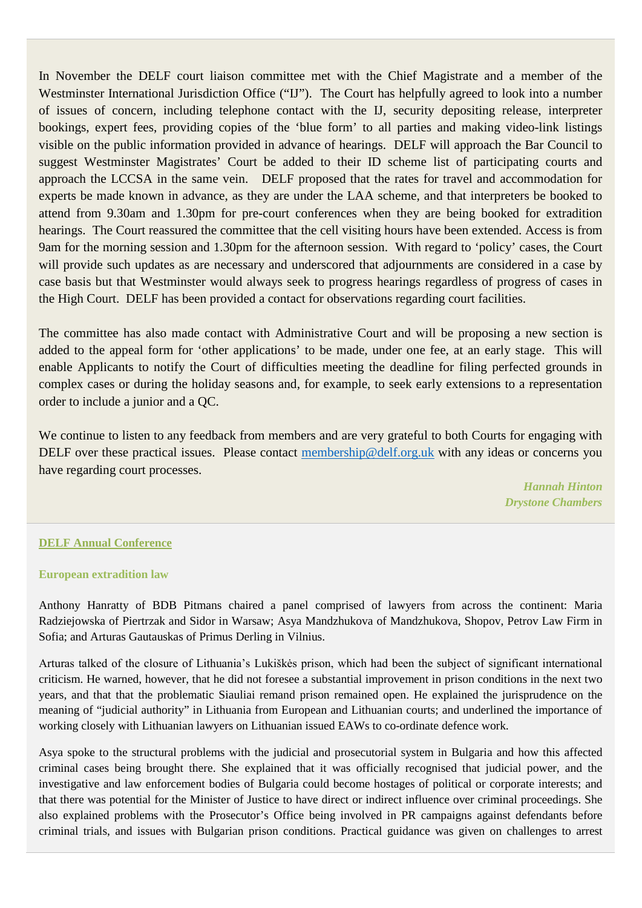In November the DELF court liaison committee met with the Chief Magistrate and a member of the Westminster International Jurisdiction Office ("IJ"). The Court has helpfully agreed to look into a number of issues of concern, including telephone contact with the IJ, security depositing release, interpreter bookings, expert fees, providing copies of the 'blue form' to all parties and making video-link listings visible on the public information provided in advance of hearings. DELF will approach the Bar Council to suggest Westminster Magistrates' Court be added to their ID scheme list of participating courts and approach the LCCSA in the same vein. DELF proposed that the rates for travel and accommodation for experts be made known in advance, as they are under the LAA scheme, and that interpreters be booked to attend from 9.30am and 1.30pm for pre-court conferences when they are being booked for extradition hearings. The Court reassured the committee that the cell visiting hours have been extended. Access is from 9am for the morning session and 1.30pm for the afternoon session. With regard to 'policy' cases, the Court will provide such updates as are necessary and underscored that adjournments are considered in a case by case basis but that Westminster would always seek to progress hearings regardless of progress of cases in the High Court. DELF has been provided a contact for observations regarding court facilities.

The committee has also made contact with Administrative Court and will be proposing a new section is added to the appeal form for 'other applications' to be made, under one fee, at an early stage. This will enable Applicants to notify the Court of difficulties meeting the deadline for filing perfected grounds in complex cases or during the holiday seasons and, for example, to seek early extensions to a representation order to include a junior and a QC.

We continue to listen to any feedback from members and are very grateful to both Courts for engaging with DELF over these practical issues. Please contact [membership@delf.org.uk](mailto:membership@delf.org.uk) with any ideas or concerns you have regarding court processes.

> *Hannah Hinton Drystone Chambers*

#### **DELF Annual Conference**

#### **European extradition law**

Anthony Hanratty of BDB Pitmans chaired a panel comprised of lawyers from across the continent: Maria Radziejowska of Piertrzak and Sidor in Warsaw; Asya Mandzhukova of Mandzhukova, Shopov, Petrov Law Firm in Sofia; and Arturas Gautauskas of Primus Derling in Vilnius.

Arturas talked of the closure of Lithuania's Lukiškės prison, which had been the subject of significant international criticism. He warned, however, that he did not foresee a substantial improvement in prison conditions in the next two years, and that that the problematic Siauliai remand prison remained open. He explained the jurisprudence on the meaning of "judicial authority" in Lithuania from European and Lithuanian courts; and underlined the importance of working closely with Lithuanian lawyers on Lithuanian issued EAWs to co-ordinate defence work.

Asya spoke to the structural problems with the judicial and prosecutorial system in Bulgaria and how this affected criminal cases being brought there. She explained that it was officially recognised that judicial power, and the investigative and law enforcement bodies of Bulgaria could become hostages of political or corporate interests; and that there was potential for the Minister of Justice to have direct or indirect influence over criminal proceedings. She also explained problems with the Prosecutor's Office being involved in PR campaigns against defendants before criminal trials, and issues with Bulgarian prison conditions. Practical guidance was given on challenges to arrest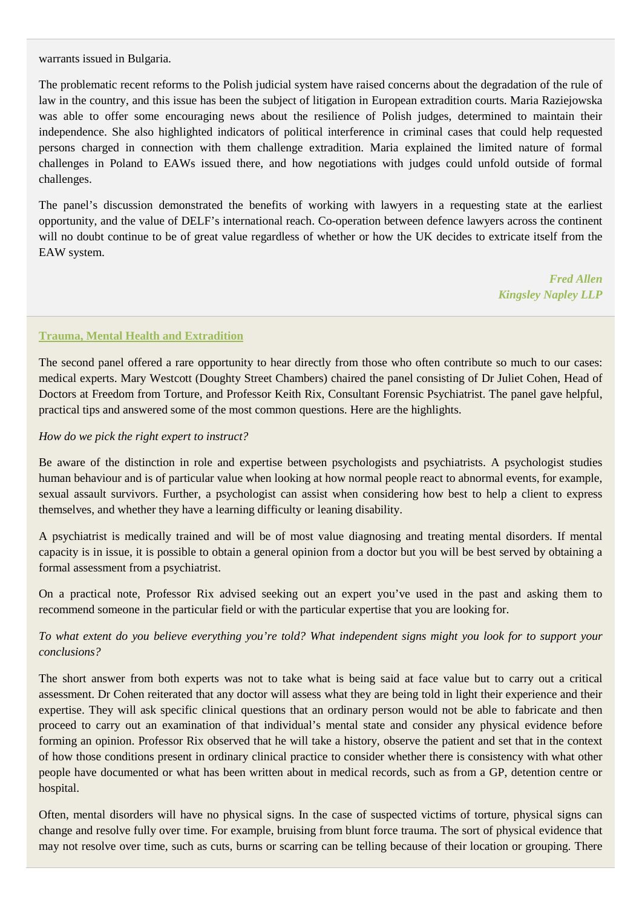warrants issued in Bulgaria.

The problematic recent reforms to the Polish judicial system have raised concerns about the degradation of the rule of law in the country, and this issue has been the subject of litigation in European extradition courts. Maria Raziejowska was able to offer some encouraging news about the resilience of Polish judges, determined to maintain their independence. She also highlighted indicators of political interference in criminal cases that could help requested persons charged in connection with them challenge extradition. Maria explained the limited nature of formal challenges in Poland to EAWs issued there, and how negotiations with judges could unfold outside of formal challenges.

The panel's discussion demonstrated the benefits of working with lawyers in a requesting state at the earliest opportunity, and the value of DELF's international reach. Co-operation between defence lawyers across the continent will no doubt continue to be of great value regardless of whether or how the UK decides to extricate itself from the EAW system.

> *Fred Allen Kingsley Napley LLP*

#### **Trauma, Mental Health and Extradition**

The second panel offered a rare opportunity to hear directly from those who often contribute so much to our cases: medical experts. Mary Westcott (Doughty Street Chambers) chaired the panel consisting of Dr Juliet Cohen, Head of Doctors at Freedom from Torture, and Professor Keith Rix, Consultant Forensic Psychiatrist. The panel gave helpful, practical tips and answered some of the most common questions. Here are the highlights.

#### *How do we pick the right expert to instruct?*

Be aware of the distinction in role and expertise between psychologists and psychiatrists. A psychologist studies human behaviour and is of particular value when looking at how normal people react to abnormal events, for example, sexual assault survivors. Further, a psychologist can assist when considering how best to help a client to express themselves, and whether they have a learning difficulty or leaning disability.

A psychiatrist is medically trained and will be of most value diagnosing and treating mental disorders. If mental capacity is in issue, it is possible to obtain a general opinion from a doctor but you will be best served by obtaining a formal assessment from a psychiatrist.

On a practical note, Professor Rix advised seeking out an expert you've used in the past and asking them to recommend someone in the particular field or with the particular expertise that you are looking for.

# *To what extent do you believe everything you're told? What independent signs might you look for to support your conclusions?*

The short answer from both experts was not to take what is being said at face value but to carry out a critical assessment. Dr Cohen reiterated that any doctor will assess what they are being told in light their experience and their expertise. They will ask specific clinical questions that an ordinary person would not be able to fabricate and then proceed to carry out an examination of that individual's mental state and consider any physical evidence before forming an opinion. Professor Rix observed that he will take a history, observe the patient and set that in the context of how those conditions present in ordinary clinical practice to consider whether there is consistency with what other people have documented or what has been written about in medical records, such as from a GP, detention centre or hospital.

Often, mental disorders will have no physical signs. In the case of suspected victims of torture, physical signs can change and resolve fully over time. For example, bruising from blunt force trauma. The sort of physical evidence that may not resolve over time, such as cuts, burns or scarring can be telling because of their location or grouping. There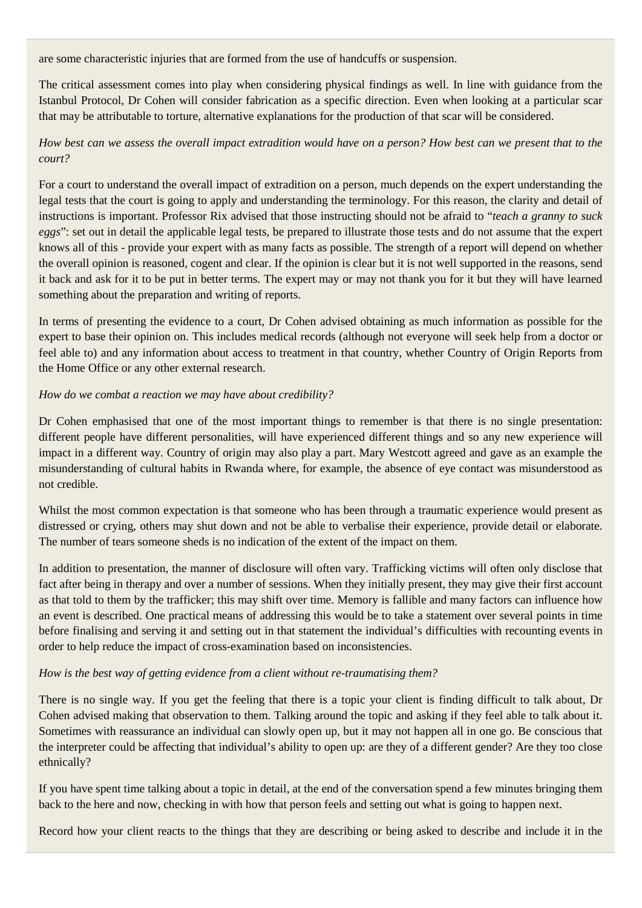are some characteristic injuries that are formed from the use of handcuffs or suspension.

The critical assessment comes into play when considering physical findings as well. In line with guidance from the Istanbul Protocol, Dr Cohen will consider fabrication as a specific direction. Even when looking at a particular scar that may be attributable to torture, alternative explanations for the production of that scar will be considered.

# *How best can we assess the overall impact extradition would have on a person? How best can we present that to the court?*

For a court to understand the overall impact of extradition on a person, much depends on the expert understanding the legal tests that the court is going to apply and understanding the terminology. For this reason, the clarity and detail of instructions is important. Professor Rix advised that those instructing should not be afraid to "*teach a granny to suck eggs*": set out in detail the applicable legal tests, be prepared to illustrate those tests and do not assume that the expert knows all of this - provide your expert with as many facts as possible. The strength of a report will depend on whether the overall opinion is reasoned, cogent and clear. If the opinion is clear but it is not well supported in the reasons, send it back and ask for it to be put in better terms. The expert may or may not thank you for it but they will have learned something about the preparation and writing of reports.

In terms of presenting the evidence to a court, Dr Cohen advised obtaining as much information as possible for the expert to base their opinion on. This includes medical records (although not everyone will seek help from a doctor or feel able to) and any information about access to treatment in that country, whether Country of Origin Reports from the Home Office or any other external research.

#### *How do we combat a reaction we may have about credibility?*

Dr Cohen emphasised that one of the most important things to remember is that there is no single presentation: different people have different personalities, will have experienced different things and so any new experience will impact in a different way. Country of origin may also play a part. Mary Westcott agreed and gave as an example the misunderstanding of cultural habits in Rwanda where, for example, the absence of eye contact was misunderstood as not credible.

Whilst the most common expectation is that someone who has been through a traumatic experience would present as distressed or crying, others may shut down and not be able to verbalise their experience, provide detail or elaborate. The number of tears someone sheds is no indication of the extent of the impact on them.

In addition to presentation, the manner of disclosure will often vary. Trafficking victims will often only disclose that fact after being in therapy and over a number of sessions. When they initially present, they may give their first account as that told to them by the trafficker; this may shift over time. Memory is fallible and many factors can influence how an event is described. One practical means of addressing this would be to take a statement over several points in time before finalising and serving it and setting out in that statement the individual's difficulties with recounting events in order to help reduce the impact of cross-examination based on inconsistencies.

# *How is the best way of getting evidence from a client without re-traumatising them?*

There is no single way. If you get the feeling that there is a topic your client is finding difficult to talk about, Dr Cohen advised making that observation to them. Talking around the topic and asking if they feel able to talk about it. Sometimes with reassurance an individual can slowly open up, but it may not happen all in one go. Be conscious that the interpreter could be affecting that individual's ability to open up: are they of a different gender? Are they too close ethnically?

If you have spent time talking about a topic in detail, at the end of the conversation spend a few minutes bringing them back to the here and now, checking in with how that person feels and setting out what is going to happen next.

Record how your client reacts to the things that they are describing or being asked to describe and include it in the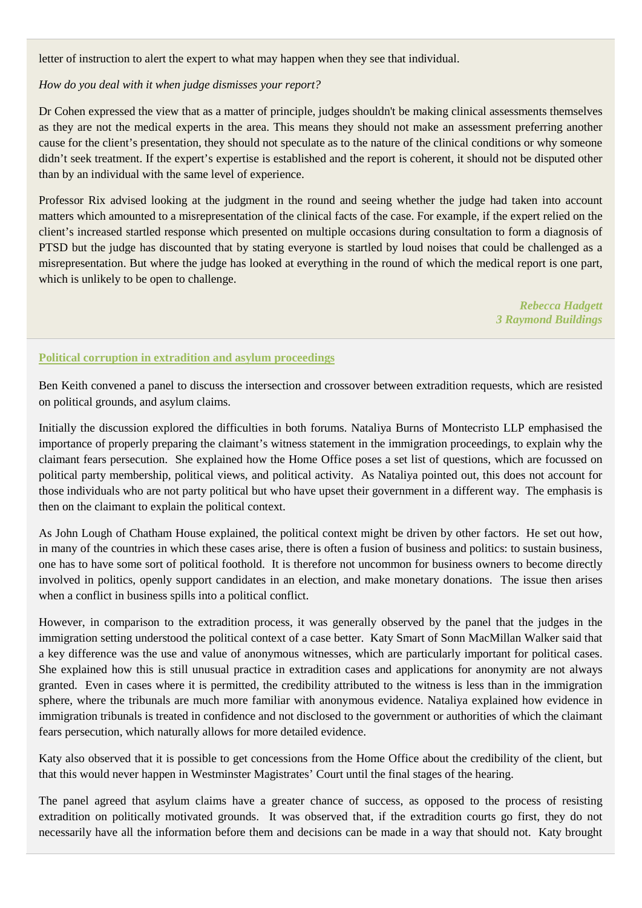letter of instruction to alert the expert to what may happen when they see that individual.

#### *How do you deal with it when judge dismisses your report?*

Dr Cohen expressed the view that as a matter of principle, judges shouldn't be making clinical assessments themselves as they are not the medical experts in the area. This means they should not make an assessment preferring another cause for the client's presentation, they should not speculate as to the nature of the clinical conditions or why someone didn't seek treatment. If the expert's expertise is established and the report is coherent, it should not be disputed other than by an individual with the same level of experience.

Professor Rix advised looking at the judgment in the round and seeing whether the judge had taken into account matters which amounted to a misrepresentation of the clinical facts of the case. For example, if the expert relied on the client's increased startled response which presented on multiple occasions during consultation to form a diagnosis of PTSD but the judge has discounted that by stating everyone is startled by loud noises that could be challenged as a misrepresentation. But where the judge has looked at everything in the round of which the medical report is one part, which is unlikely to be open to challenge.

> *Rebecca Hadgett 3 Raymond Buildings*

#### **Political corruption in extradition and asylum proceedings**

Ben Keith convened a panel to discuss the intersection and crossover between extradition requests, which are resisted on political grounds, and asylum claims.

Initially the discussion explored the difficulties in both forums. Nataliya Burns of Montecristo LLP emphasised the importance of properly preparing the claimant's witness statement in the immigration proceedings, to explain why the claimant fears persecution. She explained how the Home Office poses a set list of questions, which are focussed on political party membership, political views, and political activity. As Nataliya pointed out, this does not account for those individuals who are not party political but who have upset their government in a different way. The emphasis is then on the claimant to explain the political context.

As John Lough of Chatham House explained, the political context might be driven by other factors. He set out how, in many of the countries in which these cases arise, there is often a fusion of business and politics: to sustain business, one has to have some sort of political foothold. It is therefore not uncommon for business owners to become directly involved in politics, openly support candidates in an election, and make monetary donations. The issue then arises when a conflict in business spills into a political conflict.

However, in comparison to the extradition process, it was generally observed by the panel that the judges in the immigration setting understood the political context of a case better. Katy Smart of Sonn MacMillan Walker said that a key difference was the use and value of anonymous witnesses, which are particularly important for political cases. She explained how this is still unusual practice in extradition cases and applications for anonymity are not always granted. Even in cases where it is permitted, the credibility attributed to the witness is less than in the immigration sphere, where the tribunals are much more familiar with anonymous evidence. Nataliya explained how evidence in immigration tribunals is treated in confidence and not disclosed to the government or authorities of which the claimant fears persecution, which naturally allows for more detailed evidence.

Katy also observed that it is possible to get concessions from the Home Office about the credibility of the client, but that this would never happen in Westminster Magistrates' Court until the final stages of the hearing.

The panel agreed that asylum claims have a greater chance of success, as opposed to the process of resisting extradition on politically motivated grounds. It was observed that, if the extradition courts go first, they do not necessarily have all the information before them and decisions can be made in a way that should not. Katy brought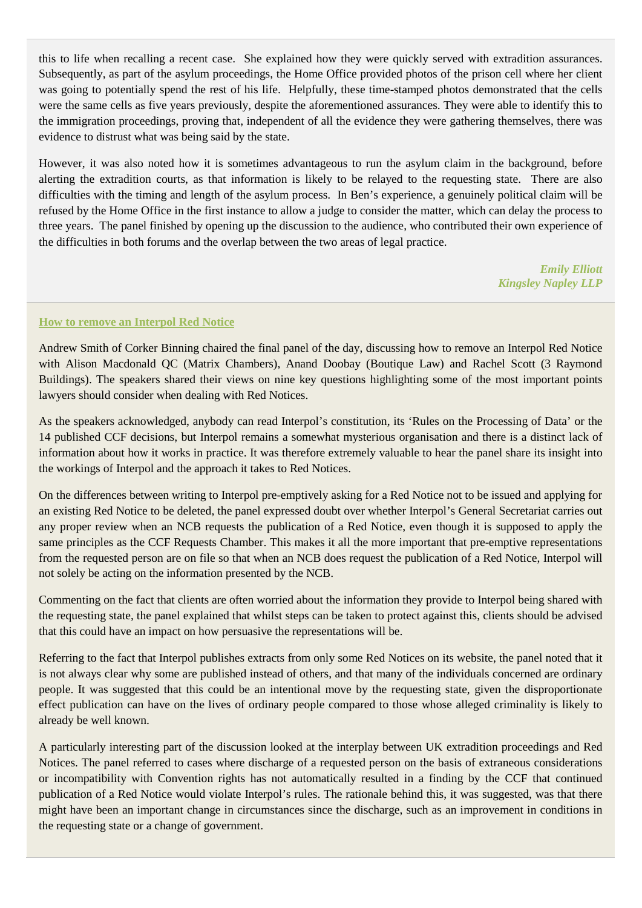this to life when recalling a recent case. She explained how they were quickly served with extradition assurances. Subsequently, as part of the asylum proceedings, the Home Office provided photos of the prison cell where her client was going to potentially spend the rest of his life. Helpfully, these time-stamped photos demonstrated that the cells were the same cells as five years previously, despite the aforementioned assurances. They were able to identify this to the immigration proceedings, proving that, independent of all the evidence they were gathering themselves, there was evidence to distrust what was being said by the state.

However, it was also noted how it is sometimes advantageous to run the asylum claim in the background, before alerting the extradition courts, as that information is likely to be relayed to the requesting state. There are also difficulties with the timing and length of the asylum process. In Ben's experience, a genuinely political claim will be refused by the Home Office in the first instance to allow a judge to consider the matter, which can delay the process to three years. The panel finished by opening up the discussion to the audience, who contributed their own experience of the difficulties in both forums and the overlap between the two areas of legal practice.

> *Emily Elliott Kingsley Napley LLP*

#### **How to remove an Interpol Red Notice**

Andrew Smith of Corker Binning chaired the final panel of the day, discussing how to remove an Interpol Red Notice with Alison Macdonald QC (Matrix Chambers), Anand Doobay (Boutique Law) and Rachel Scott (3 Raymond Buildings). The speakers shared their views on nine key questions highlighting some of the most important points lawyers should consider when dealing with Red Notices.

As the speakers acknowledged, anybody can read Interpol's constitution, its 'Rules on the Processing of Data' or the 14 published CCF decisions, but Interpol remains a somewhat mysterious organisation and there is a distinct lack of information about how it works in practice. It was therefore extremely valuable to hear the panel share its insight into the workings of Interpol and the approach it takes to Red Notices.

On the differences between writing to Interpol pre-emptively asking for a Red Notice not to be issued and applying for an existing Red Notice to be deleted, the panel expressed doubt over whether Interpol's General Secretariat carries out any proper review when an NCB requests the publication of a Red Notice, even though it is supposed to apply the same principles as the CCF Requests Chamber. This makes it all the more important that pre-emptive representations from the requested person are on file so that when an NCB does request the publication of a Red Notice, Interpol will not solely be acting on the information presented by the NCB.

Commenting on the fact that clients are often worried about the information they provide to Interpol being shared with the requesting state, the panel explained that whilst steps can be taken to protect against this, clients should be advised that this could have an impact on how persuasive the representations will be.

Referring to the fact that Interpol publishes extracts from only some Red Notices on its website, the panel noted that it is not always clear why some are published instead of others, and that many of the individuals concerned are ordinary people. It was suggested that this could be an intentional move by the requesting state, given the disproportionate effect publication can have on the lives of ordinary people compared to those whose alleged criminality is likely to already be well known.

A particularly interesting part of the discussion looked at the interplay between UK extradition proceedings and Red Notices. The panel referred to cases where discharge of a requested person on the basis of extraneous considerations or incompatibility with Convention rights has not automatically resulted in a finding by the CCF that continued publication of a Red Notice would violate Interpol's rules. The rationale behind this, it was suggested, was that there might have been an important change in circumstances since the discharge, such as an improvement in conditions in the requesting state or a change of government.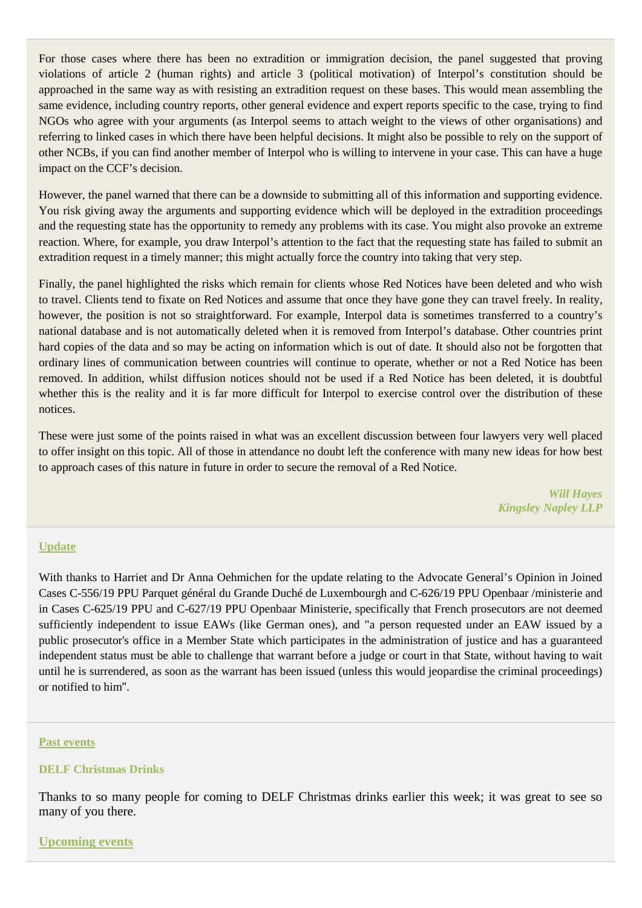For those cases where there has been no extradition or immigration decision, the panel suggested that proving violations of article 2 (human rights) and article 3 (political motivation) of Interpol's constitution should be approached in the same way as with resisting an extradition request on these bases. This would mean assembling the same evidence, including country reports, other general evidence and expert reports specific to the case, trying to find NGOs who agree with your arguments (as Interpol seems to attach weight to the views of other organisations) and referring to linked cases in which there have been helpful decisions. It might also be possible to rely on the support of other NCBs, if you can find another member of Interpol who is willing to intervene in your case. This can have a huge impact on the CCF's decision.

However, the panel warned that there can be a downside to submitting all of this information and supporting evidence. You risk giving away the arguments and supporting evidence which will be deployed in the extradition proceedings and the requesting state has the opportunity to remedy any problems with its case. You might also provoke an extreme reaction. Where, for example, you draw Interpol's attention to the fact that the requesting state has failed to submit an extradition request in a timely manner; this might actually force the country into taking that very step.

Finally, the panel highlighted the risks which remain for clients whose Red Notices have been deleted and who wish to travel. Clients tend to fixate on Red Notices and assume that once they have gone they can travel freely. In reality, however, the position is not so straightforward. For example, Interpol data is sometimes transferred to a country's national database and is not automatically deleted when it is removed from Interpol's database. Other countries print hard copies of the data and so may be acting on information which is out of date. It should also not be forgotten that ordinary lines of communication between countries will continue to operate, whether or not a Red Notice has been removed. In addition, whilst diffusion notices should not be used if a Red Notice has been deleted, it is doubtful whether this is the reality and it is far more difficult for Interpol to exercise control over the distribution of these notices.

These were just some of the points raised in what was an excellent discussion between four lawyers very well placed to offer insight on this topic. All of those in attendance no doubt left the conference with many new ideas for how best to approach cases of this nature in future in order to secure the removal of a Red Notice.

> *Will Hayes Kingsley Napley LLP*

#### **Update**

With thanks to Harriet and Dr Anna Oehmichen for the update relating to the Advocate General's Opinion in Joined Cases C-556/19 PPU Parquet général du Grande Duché de Luxembourgh and C-626/19 PPU Openbaar /ministerie and in Cases C-625/19 PPU and C-627/19 PPU Openbaar Ministerie, specifically that French prosecutors are not deemed sufficiently independent to issue EAWs (like German ones), and "a person requested under an EAW issued by a public prosecutor's office in a Member State which participates in the administration of justice and has a guaranteed independent status must be able to challenge that warrant before a judge or court in that State, without having to wait until he is surrendered, as soon as the warrant has been issued (unless this would jeopardise the criminal proceedings) or notified to him".

#### **Past events**

# **DELF Christmas Drinks**

Thanks to so many people for coming to DELF Christmas drinks earlier this week; it was great to see so many of you there.

#### **Upcoming events**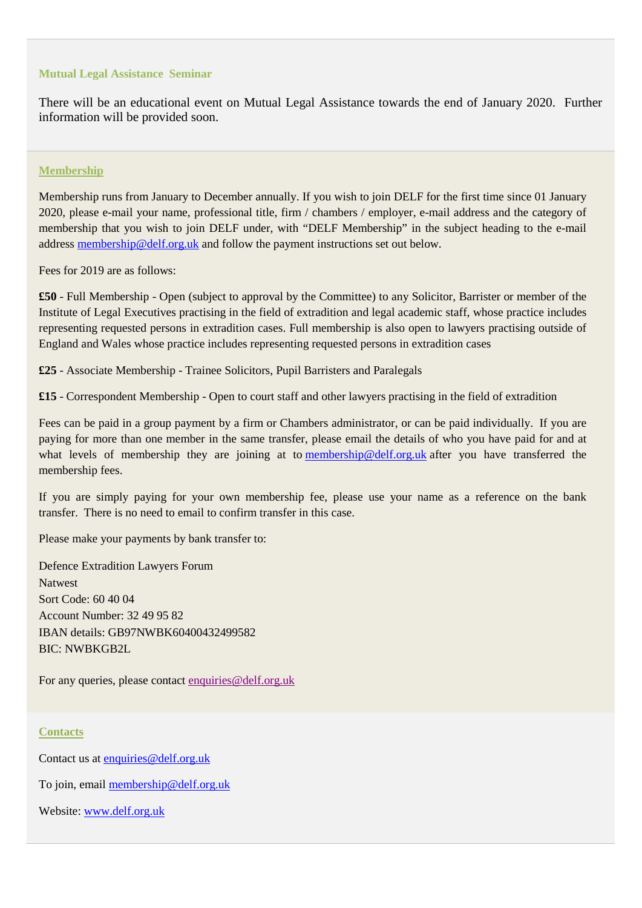#### **Mutual Legal Assistance Seminar**

There will be an educational event on Mutual Legal Assistance towards the end of January 2020. Further information will be provided soon.

#### **Membership**

Membership runs from January to December annually. If you wish to join DELF for the first time since 01 January 2020, please e-mail your name, professional title, firm / chambers / employer, e-mail address and the category of membership that you wish to join DELF under, with "DELF Membership" in the subject heading to the e-mail addres[s membership@delf.org.uk](mailto:membership@delf.org.uk) and follow the payment instructions set out below.

Fees for 2019 are as follows:

**£50** - Full Membership - Open (subject to approval by the Committee) to any Solicitor, Barrister or member of the Institute of Legal Executives practising in the field of extradition and legal academic staff, whose practice includes representing requested persons in extradition cases. Full membership is also open to lawyers practising outside of England and Wales whose practice includes representing requested persons in extradition cases

**£25** - Associate Membership - Trainee Solicitors, Pupil Barristers and Paralegals

**£15** - Correspondent Membership - Open to court staff and other lawyers practising in the field of extradition

Fees can be paid in a group payment by a firm or Chambers administrator, or can be paid individually. If you are paying for more than one member in the same transfer, please email the details of who you have paid for and at what levels of membership they are joining at to [membership@delf.org.uk](https://email.kingsleynapley.co.uk/OWA/redir.aspx?C=uSeuL01HOU4oFI2-pkyWF6UaUFv7J7XmJI42at0zDaAOIUZ_lhjUCA..&URL=mailto%3amembership%40delf.org.uk) after you have transferred the membership fees.

If you are simply paying for your own membership fee, please use your name as a reference on the bank transfer. There is no need to email to confirm transfer in this case.

Please make your payments by bank transfer to:

Defence Extradition Lawyers Forum Natwest Sort Code: 60 40 04 Account Number: 32 49 95 82 IBAN details: GB97NWBK60400432499582 BIC: NWBKGB2L

For any queries, please contact [enquiries@delf.org.uk](https://email.kingsleynapley.co.uk/OWA/redir.aspx?C=aYGtfVTFPPSGiMpUj5axIbh6RMsFJ6svHviHQX1ruaEfSEZ_lhjUCA..&URL=mailto%3aenquiries%40delf.org.uk)

#### **Contacts**

Contact us at [enquiries@delf.org.uk](mailto:enquiries@delf.org.uk)

To join, email [membership@delf.org.uk](mailto:membership@delf.org.uk)

Website: [www.delf.org.uk](http://www.delf.org.uk/)